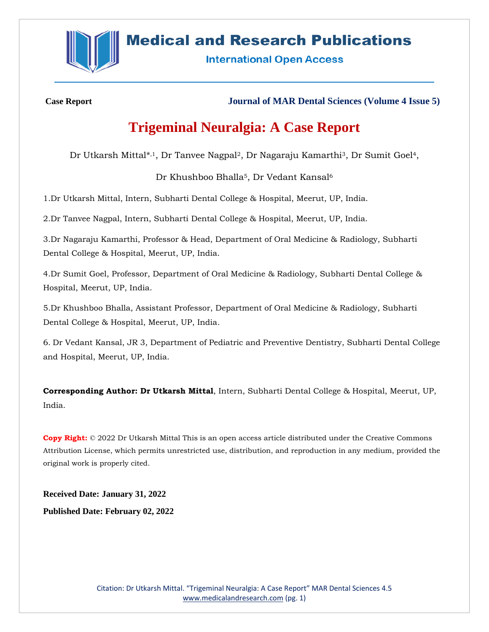

# **Medical and Research Publications**

**International Open Access** 

**Case Report Journal of MAR Dental Sciences (Volume 4 Issue 5)**

# **Trigeminal Neuralgia: A Case Report**

Dr Utkarsh Mittal\*,<sup>1</sup>, Dr Tanvee Nagpal<sup>2</sup>, Dr Nagaraju Kamarthi<sup>3</sup>, Dr Sumit Goel<sup>4</sup>,

Dr Khushboo Bhalla<sup>5</sup>, Dr Vedant Kansal<sup>6</sup>

1.Dr Utkarsh Mittal, Intern, Subharti Dental College & Hospital, Meerut, UP, India.

2.Dr Tanvee Nagpal, Intern, Subharti Dental College & Hospital, Meerut, UP, India.

3.Dr Nagaraju Kamarthi, Professor & Head, Department of Oral Medicine & Radiology, Subharti Dental College & Hospital, Meerut, UP, India.

4.Dr Sumit Goel, Professor, Department of Oral Medicine & Radiology, Subharti Dental College & Hospital, Meerut, UP, India.

5.Dr Khushboo Bhalla, Assistant Professor, Department of Oral Medicine & Radiology, Subharti Dental College & Hospital, Meerut, UP, India.

6. Dr Vedant Kansal, JR 3, Department of Pediatric and Preventive Dentistry, Subharti Dental College and Hospital, Meerut, UP, India.

**Corresponding Author: Dr Utkarsh Mittal**, Intern, Subharti Dental College & Hospital, Meerut, UP, India.

**Copy Right:** © 2022 Dr Utkarsh Mittal This is an open access article distributed under the Creative Commons Attribution License, which permits unrestricted use, distribution, and reproduction in any medium, provided the original work is properly cited.

**Received Date: January 31, 2022 Published Date: February 02, 2022**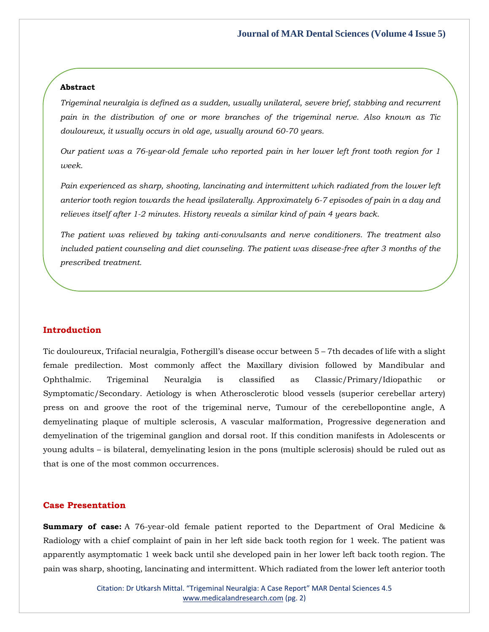#### **Abstract**

*Trigeminal neuralgia is defined as a sudden, usually unilateral, severe brief, stabbing and recurrent pain in the distribution of one or more branches of the trigeminal nerve. Also known as Tic douloureux, it usually occurs in old age, usually around 60-70 years.*

*Our patient was a 76-year-old female who reported pain in her lower left front tooth region for 1 week.*

*Pain experienced as sharp, shooting, lancinating and intermittent which radiated from the lower left anterior tooth region towards the head ipsilaterally. Approximately 6-7 episodes of pain in a day and relieves itself after 1-2 minutes. History reveals a similar kind of pain 4 years back.*

*The patient was relieved by taking anti-convulsants and nerve conditioners. The treatment also included patient counseling and diet counseling. The patient was disease-free after 3 months of the prescribed treatment.*

#### **Introduction**

Tic douloureux, Trifacial neuralgia, Fothergill's disease occur between 5 – 7th decades of life with a slight female predilection. Most commonly affect the Maxillary division followed by Mandibular and Ophthalmic. Trigeminal Neuralgia is classified as Classic/Primary/Idiopathic or Symptomatic/Secondary. Aetiology is when Atherosclerotic blood vessels (superior cerebellar artery) press on and groove the root of the trigeminal nerve, Tumour of the cerebellopontine angle, A demyelinating plaque of multiple sclerosis, A vascular malformation, Progressive degeneration and demyelination of the trigeminal ganglion and dorsal root. If this condition manifests in Adolescents or young adults – is bilateral, demyelinating lesion in the pons (multiple sclerosis) should be ruled out as that is one of the most common occurrences.

#### **Case Presentation**

**Summary of case:** A 76-year-old female patient reported to the Department of Oral Medicine & Radiology with a chief complaint of pain in her left side back tooth region for 1 week. The patient was apparently asymptomatic 1 week back until she developed pain in her lower left back tooth region. The pain was sharp, shooting, lancinating and intermittent. Which radiated from the lower left anterior tooth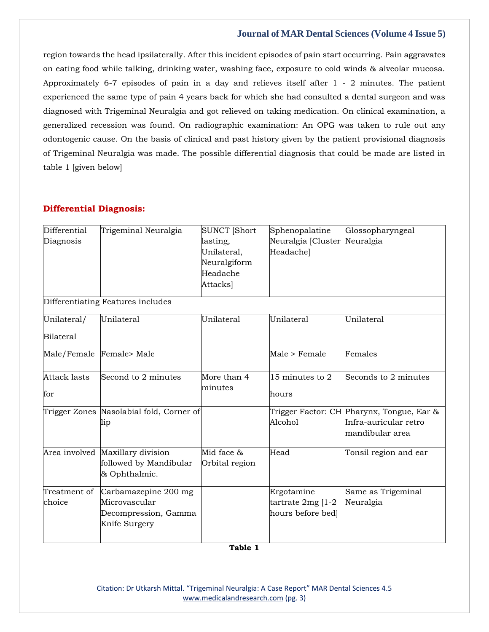region towards the head ipsilaterally. After this incident episodes of pain start occurring. Pain aggravates on eating food while talking, drinking water, washing face, exposure to cold winds & alveolar mucosa. Approximately 6-7 episodes of pain in a day and relieves itself after 1 - 2 minutes. The patient experienced the same type of pain 4 years back for which she had consulted a dental surgeon and was diagnosed with Trigeminal Neuralgia and got relieved on taking medication. On clinical examination, a generalized recession was found. On radiographic examination: An OPG was taken to rule out any odontogenic cause. On the basis of clinical and past history given by the patient provisional diagnosis of Trigeminal Neuralgia was made. The possible differential diagnosis that could be made are listed in table 1 [given below]

#### **Differential Diagnosis:**

| Differential<br>Diagnosis         | Trigeminal Neuralgia                                                           | <b>SUNCT [Short</b><br>lasting,<br>Unilateral,<br>Neuralgiform<br>Headache<br>Attacks] | Sphenopalatine<br>Neuralgia [Cluster<br>Headache]      | Glossopharyngeal<br>Neuralgia                                                         |  |
|-----------------------------------|--------------------------------------------------------------------------------|----------------------------------------------------------------------------------------|--------------------------------------------------------|---------------------------------------------------------------------------------------|--|
| Differentiating Features includes |                                                                                |                                                                                        |                                                        |                                                                                       |  |
| Unilateral/                       | Unilateral                                                                     | Unilateral                                                                             | Unilateral                                             | Unilateral                                                                            |  |
| <b>Bilateral</b>                  |                                                                                |                                                                                        |                                                        |                                                                                       |  |
| Male/Female                       | Female> Male                                                                   |                                                                                        | Male > Female                                          | Females                                                                               |  |
| <b>Attack lasts</b><br>for        | Second to 2 minutes                                                            | More than 4<br>minutes                                                                 | $15$ minutes to 2<br>hours                             | Seconds to 2 minutes                                                                  |  |
|                                   | Trigger Zones Nasolabial fold, Corner of<br>lip                                |                                                                                        | Alcohol                                                | Trigger Factor: CH Pharynx, Tongue, Ear &<br>Infra-auricular retro<br>mandibular area |  |
|                                   | Area involved Maxillary division<br>followed by Mandibular<br>& Ophthalmic.    | Mid face &<br>Orbital region                                                           | Head                                                   | Tonsil region and ear                                                                 |  |
| Treatment of<br>choice            | Carbamazepine 200 mg<br>Microvascular<br>Decompression, Gamma<br>Knife Surgery |                                                                                        | Ergotamine<br>tartrate $2mg$ [1-2<br>hours before bed] | Same as Trigeminal<br>Neuralgia                                                       |  |

Citation: Dr Utkarsh Mittal. "Trigeminal Neuralgia: A Case Report" MAR Dental Sciences 4.5 [www.medicalandresearch.com](http://www.medicalandresearch.com/) (pg. 3)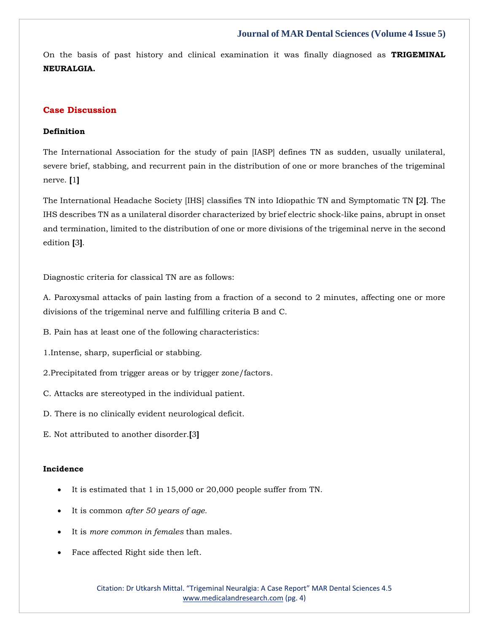On the basis of past history and clinical examination it was finally diagnosed as **TRIGEMINAL NEURALGIA.**

## **Case Discussion**

## **Definition**

The International Association for the study of pain [IASP] defines TN as sudden, usually unilateral, severe brief, stabbing, and recurrent pain in the distribution of one or more branches of the trigeminal nerve. **[**1**]**

The International Headache Society [IHS] classifies TN into Idiopathic TN and Symptomatic TN **[**2**]**. The IHS describes TN as a unilateral disorder characterized by brief electric shock-like pains, abrupt in onset and termination, limited to the distribution of one or more divisions of the trigeminal nerve in the second edition **[**3**]**.

Diagnostic criteria for classical TN are as follows:

A. Paroxysmal attacks of pain lasting from a fraction of a second to 2 minutes, affecting one or more divisions of the trigeminal nerve and fulfilling criteria B and C.

B. Pain has at least one of the following characteristics:

1.Intense, sharp, superficial or stabbing.

2.Precipitated from trigger areas or by trigger zone/factors.

- C. Attacks are stereotyped in the individual patient.
- D. There is no clinically evident neurological deficit.
- E. Not attributed to another disorder.**[**3**]**

## **Incidence**

- It is estimated that 1 in 15,000 or 20,000 people suffer from TN.
- It is common *after 50 years of age.*
- It is *more common in females* than males.
- Face affected Right side then left.

Citation: Dr Utkarsh Mittal. "Trigeminal Neuralgia: A Case Report" MAR Dental Sciences 4.5 [www.medicalandresearch.com](http://www.medicalandresearch.com/) (pg. 4)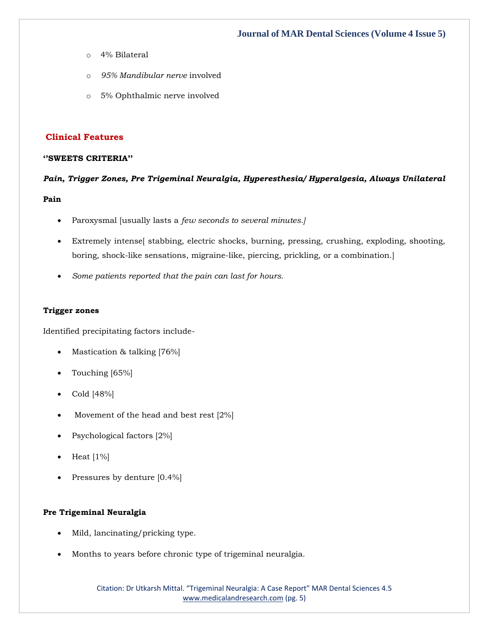- o 4% Bilateral
- o *95% Mandibular nerve* involved
- o 5% Ophthalmic nerve involved

## **Clinical Features**

### **''SWEETS CRITERIA''**

## *Pain, Trigger Zones, Pre Trigeminal Neuralgia, Hyperesthesia/ Hyperalgesia, Always Unilateral*

## **Pain**

- Paroxysmal [usually lasts a *few seconds to several minutes.]*
- Extremely intense[ stabbing, electric shocks, burning, pressing, crushing, exploding, shooting, boring, shock-like sensations, migraine-like, piercing, prickling, or a combination.]
- *Some patients reported that the pain can last for hours.*

#### **Trigger zones**

Identified precipitating factors include-

- Mastication & talking [76%]
- Touching [65%]
- Cold [48%]
- Movement of the head and best rest  $[2\%]$
- Psychological factors [2%]
- Heat  $[1\%]$
- Pressures by denture [0.4%]

#### **Pre Trigeminal Neuralgia**

- Mild, lancinating/pricking type.
- Months to years before chronic type of trigeminal neuralgia.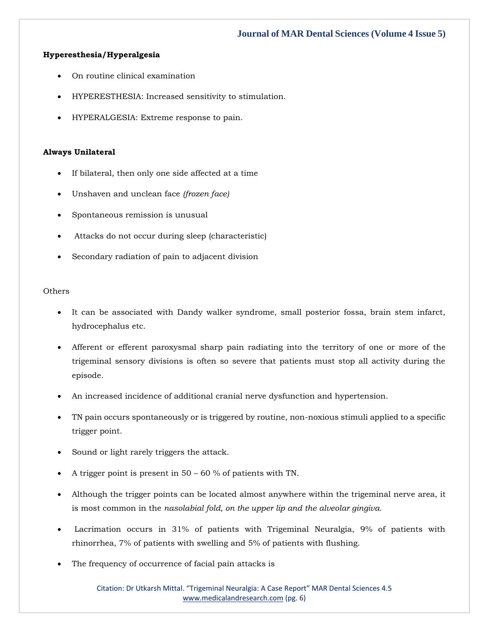## **Hyperesthesia/Hyperalgesia**

- On routine clinical examination
- HYPERESTHESIA: Increased sensitivity to stimulation.
- HYPERALGESIA: Extreme response to pain.

#### **Always Unilateral**

- If bilateral, then only one side affected at a time
- Unshaven and unclean face *(frozen face)*
- Spontaneous remission is unusual
- Attacks do not occur during sleep (characteristic)
- Secondary radiation of pain to adjacent division

#### **Others**

- It can be associated with Dandy walker syndrome, small posterior fossa, brain stem infarct, hydrocephalus etc.
- Afferent or efferent paroxysmal sharp pain radiating into the territory of one or more of the trigeminal sensory divisions is often so severe that patients must stop all activity during the episode.
- An increased incidence of additional cranial nerve dysfunction and hypertension.
- TN pain occurs spontaneously or is triggered by routine, non-noxious stimuli applied to a specific trigger point.
- Sound or light rarely triggers the attack.
- A trigger point is present in 50 60 % of patients with TN.
- Although the trigger points can be located almost anywhere within the trigeminal nerve area, it is most common in the *nasolabial fold, on the upper lip and the alveolar gingiva.*
- Lacrimation occurs in 31% of patients with Trigeminal Neuralgia, 9% of patients with rhinorrhea, 7% of patients with swelling and 5% of patients with flushing.
- The frequency of occurrence of facial pain attacks is

Citation: Dr Utkarsh Mittal. "Trigeminal Neuralgia: A Case Report" MAR Dental Sciences 4.5 [www.medicalandresearch.com](http://www.medicalandresearch.com/) (pg. 6)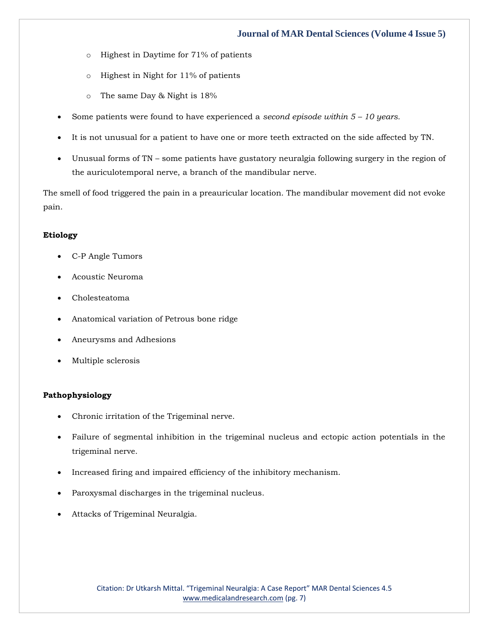- o Highest in Daytime for 71% of patients
- o Highest in Night for 11% of patients
- o The same Day & Night is 18%
- Some patients were found to have experienced a *second episode within 5 – 10 years.*
- It is not unusual for a patient to have one or more teeth extracted on the side affected by TN.
- Unusual forms of TN some patients have gustatory neuralgia following surgery in the region of the auriculotemporal nerve, a branch of the mandibular nerve.

The smell of food triggered the pain in a preauricular location. The mandibular movement did not evoke pain.

## **Etiology**

- C-P Angle Tumors
- Acoustic Neuroma
- Cholesteatoma
- Anatomical variation of Petrous bone ridge
- Aneurysms and Adhesions
- Multiple sclerosis

## **Pathophysiology**

- Chronic irritation of the Trigeminal nerve.
- Failure of segmental inhibition in the trigeminal nucleus and ectopic action potentials in the trigeminal nerve.
- Increased firing and impaired efficiency of the inhibitory mechanism.
- Paroxysmal discharges in the trigeminal nucleus.
- Attacks of Trigeminal Neuralgia.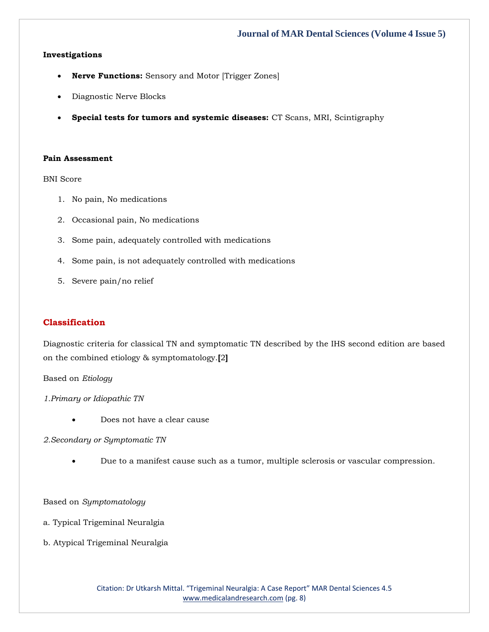## **Investigations**

- **Nerve Functions:** Sensory and Motor [Trigger Zones]
- Diagnostic Nerve Blocks
- **Special tests for tumors and systemic diseases:** CT Scans, MRI, Scintigraphy

#### **Pain Assessment**

BNI Score

- 1. No pain, No medications
- 2. Occasional pain, No medications
- 3. Some pain, adequately controlled with medications
- 4. Some pain, is not adequately controlled with medications
- 5. Severe pain/no relief

## **Classification**

Diagnostic criteria for classical TN and symptomatic TN described by the IHS second edition are based on the combined etiology & symptomatology.**[**2**]**

#### Based on *Etiology*

*1.Primary or Idiopathic TN*

Does not have a clear cause

#### *2.Secondary or Symptomatic TN*

• Due to a manifest cause such as a tumor, multiple sclerosis or vascular compression.

Based on *Symptomatology*

a. Typical Trigeminal Neuralgia

b. Atypical Trigeminal Neuralgia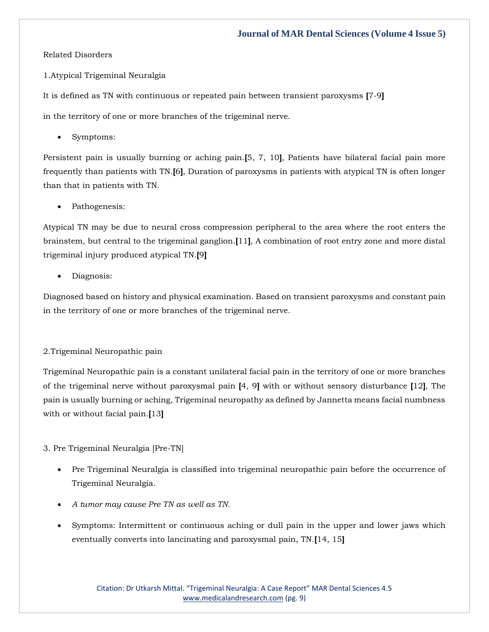#### Related Disorders

1.Atypical Trigeminal Neuralgia

It is defined as TN with continuous or repeated pain between transient paroxysms **[**7-9**]**

in the territory of one or more branches of the trigeminal nerve.

Symptoms:

Persistent pain is usually burning or aching pain.**[**5, 7, 10**]**, Patients have bilateral facial pain more frequently than patients with TN.**[**6**]**, Duration of paroxysms in patients with atypical TN is often longer than that in patients with TN.

Pathogenesis:

Atypical TN may be due to neural cross compression peripheral to the area where the root enters the brainstem, but central to the trigeminal ganglion.**[**11**]**, A combination of root entry zone and more distal trigeminal injury produced atypical TN.**[**9**]**

• Diagnosis:

Diagnosed based on history and physical examination. Based on transient paroxysms and constant pain in the territory of one or more branches of the trigeminal nerve.

## 2.Trigeminal Neuropathic pain

Trigeminal Neuropathic pain is a constant unilateral facial pain in the territory of one or more branches of the trigeminal nerve without paroxysmal pain **[**4, 9**]** with or without sensory disturbance **[**12**]**, The pain is usually burning or aching, Trigeminal neuropathy as defined by Jannetta means facial numbness with or without facial pain.**[**13**]**

#### 3. Pre Trigeminal Neuralgia [Pre-TN]

- Pre Trigeminal Neuralgia is classified into trigeminal neuropathic pain before the occurrence of Trigeminal Neuralgia.
- *A tumor may cause Pre TN as well as TN.*
- Symptoms: Intermittent or continuous aching or dull pain in the upper and lower jaws which eventually converts into lancinating and paroxysmal pain, TN.**[**14, 15**]**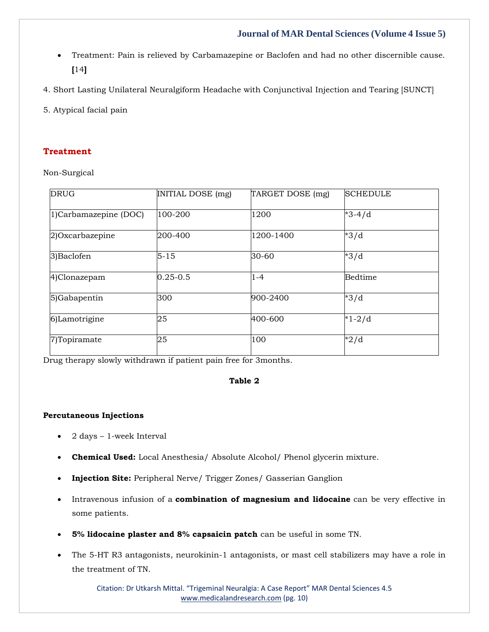- Treatment: Pain is relieved by Carbamazepine or Baclofen and had no other discernible cause. **[**14**]**
- 4. Short Lasting Unilateral Neuralgiform Headache with Conjunctival Injection and Tearing [SUNCT]
- 5. Atypical facial pain

# **Treatment**

Non-Surgical

| <b>DRUG</b>           | INITIAL DOSE (mg) | TARGET DOSE (mg) | <b>SCHEDULE</b> |
|-----------------------|-------------------|------------------|-----------------|
| 1)Carbamazepine (DOC) | 100-200           | 1200             | $*3-4/d$        |
| 2)Oxcarbazepine       | 200-400           | 1200-1400        | $*3/d$          |
| 3) Baclofen           | $5 - 15$          | 30-60            | $*3/d$          |
| 4)Clonazepam          | $0.25 - 0.5$      | $1 - 4$          | <b>Bedtime</b>  |
| 5)Gabapentin          | 300               | 900-2400         | $*3/d$          |
| 6)Lamotrigine         | 25                | 400-600          | $*1 - 2/d$      |
| 7)Topiramate          | 25                | 100              | $*2/d$          |

Drug therapy slowly withdrawn if patient pain free for 3months.

# **Table 2**

#### **Percutaneous Injections**

- 2 days 1-week Interval
- **Chemical Used:** Local Anesthesia/ Absolute Alcohol/ Phenol glycerin mixture.
- **Injection Site:** Peripheral Nerve/ Trigger Zones/ Gasserian Ganglion
- Intravenous infusion of a **combination of magnesium and lidocaine** can be very effective in some patients.
- **5% lidocaine plaster and 8% capsaicin patch** can be useful in some TN.
- The 5-HT R3 antagonists, neurokinin-1 antagonists, or mast cell stabilizers may have a role in the treatment of TN.

Citation: Dr Utkarsh Mittal. "Trigeminal Neuralgia: A Case Report" MAR Dental Sciences 4.5 [www.medicalandresearch.com](http://www.medicalandresearch.com/) (pg. 10)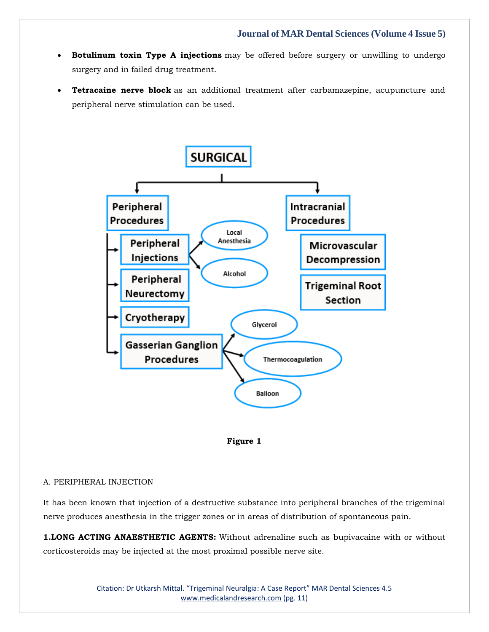- **Botulinum toxin Type A injections** may be offered before surgery or unwilling to undergo surgery and in failed drug treatment.
- **Tetracaine nerve block** as an additional treatment after carbamazepine, acupuncture and peripheral nerve stimulation can be used.





#### A. PERIPHERAL INJECTION

It has been known that injection of a destructive substance into peripheral branches of the trigeminal nerve produces anesthesia in the trigger zones or in areas of distribution of spontaneous pain.

**1.LONG ACTING ANAESTHETIC AGENTS:** Without adrenaline such as bupivacaine with or without corticosteroids may be injected at the most proximal possible nerve site.

> Citation: Dr Utkarsh Mittal. "Trigeminal Neuralgia: A Case Report" MAR Dental Sciences 4.5 [www.medicalandresearch.com](http://www.medicalandresearch.com/) (pg. 11)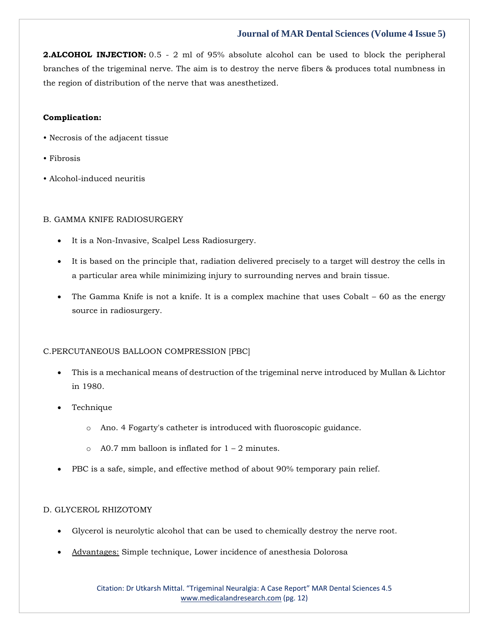**2.ALCOHOL INJECTION:** 0.5 - 2 ml of 95% absolute alcohol can be used to block the peripheral branches of the trigeminal nerve. The aim is to destroy the nerve fibers & produces total numbness in the region of distribution of the nerve that was anesthetized.

## **Complication:**

- Necrosis of the adjacent tissue
- Fibrosis
- Alcohol-induced neuritis

## B. GAMMA KNIFE RADIOSURGERY

- It is a Non-Invasive, Scalpel Less Radiosurgery.
- It is based on the principle that, radiation delivered precisely to a target will destroy the cells in a particular area while minimizing injury to surrounding nerves and brain tissue.
- The Gamma Knife is not a knife. It is a complex machine that uses Cobalt 60 as the energy source in radiosurgery.

## C.PERCUTANEOUS BALLOON COMPRESSION [PBC]

- This is a mechanical means of destruction of the trigeminal nerve introduced by Mullan & Lichtor in 1980.
- Technique
	- o Ano. 4 Fogarty's catheter is introduced with fluoroscopic guidance.
	- $\circ$  A0.7 mm balloon is inflated for  $1 2$  minutes.
- PBC is a safe, simple, and effective method of about 90% temporary pain relief.

## D. GLYCEROL RHIZOTOMY

- Glycerol is neurolytic alcohol that can be used to chemically destroy the nerve root.
- Advantages: Simple technique, Lower incidence of anesthesia Dolorosa

Citation: Dr Utkarsh Mittal. "Trigeminal Neuralgia: A Case Report" MAR Dental Sciences 4.5 [www.medicalandresearch.com](http://www.medicalandresearch.com/) (pg. 12)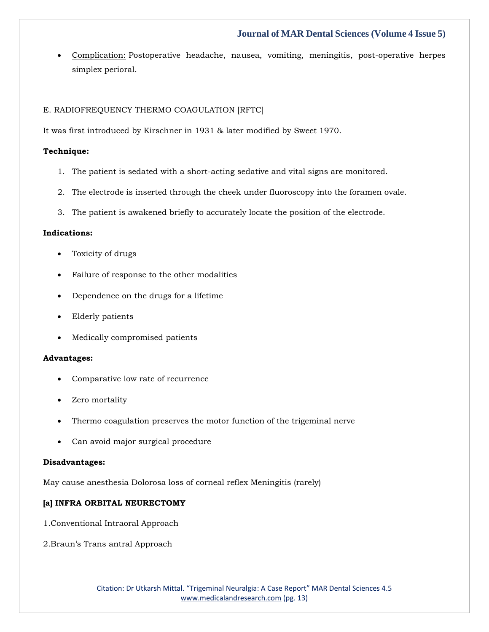• Complication: Postoperative headache, nausea, vomiting, meningitis, post-operative herpes simplex perioral.

## E. RADIOFREQUENCY THERMO COAGULATION [RFTC]

It was first introduced by Kirschner in 1931 & later modified by Sweet 1970.

### **Technique:**

- 1. The patient is sedated with a short-acting sedative and vital signs are monitored.
- 2. The electrode is inserted through the cheek under fluoroscopy into the foramen ovale.
- 3. The patient is awakened briefly to accurately locate the position of the electrode.

## **Indications:**

- Toxicity of drugs
- Failure of response to the other modalities
- Dependence on the drugs for a lifetime
- Elderly patients
- Medically compromised patients

#### **Advantages:**

- Comparative low rate of recurrence
- Zero mortality
- Thermo coagulation preserves the motor function of the trigeminal nerve
- Can avoid major surgical procedure

#### **Disadvantages:**

May cause anesthesia Dolorosa loss of corneal reflex Meningitis (rarely)

## **[a] INFRA ORBITAL NEURECTOMY**

- 1.Conventional Intraoral Approach
- 2.Braun's Trans antral Approach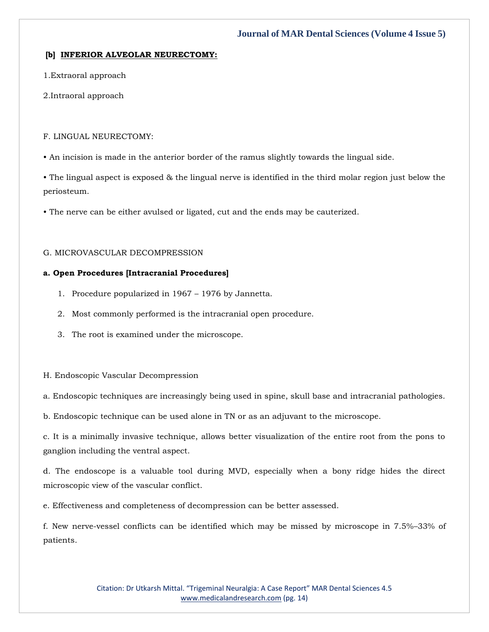## **[b] INFERIOR ALVEOLAR NEURECTOMY:**

1.Extraoral approach

2.Intraoral approach

### F. LINGUAL NEURECTOMY:

• An incision is made in the anterior border of the ramus slightly towards the lingual side.

• The lingual aspect is exposed & the lingual nerve is identified in the third molar region just below the periosteum.

• The nerve can be either avulsed or ligated, cut and the ends may be cauterized.

## G. MICROVASCULAR DECOMPRESSION

## **a. Open Procedures [Intracranial Procedures]**

- 1. Procedure popularized in 1967 1976 by Jannetta.
- 2. Most commonly performed is the intracranial open procedure.
- 3. The root is examined under the microscope.

#### H. Endoscopic Vascular Decompression

a. Endoscopic techniques are increasingly being used in spine, skull base and intracranial pathologies.

b. Endoscopic technique can be used alone in TN or as an adjuvant to the microscope.

c. It is a minimally invasive technique, allows better visualization of the entire root from the pons to ganglion including the ventral aspect.

d. The endoscope is a valuable tool during MVD, especially when a bony ridge hides the direct microscopic view of the vascular conflict.

e. Effectiveness and completeness of decompression can be better assessed.

f. New nerve-vessel conflicts can be identified which may be missed by microscope in 7.5%–33% of patients.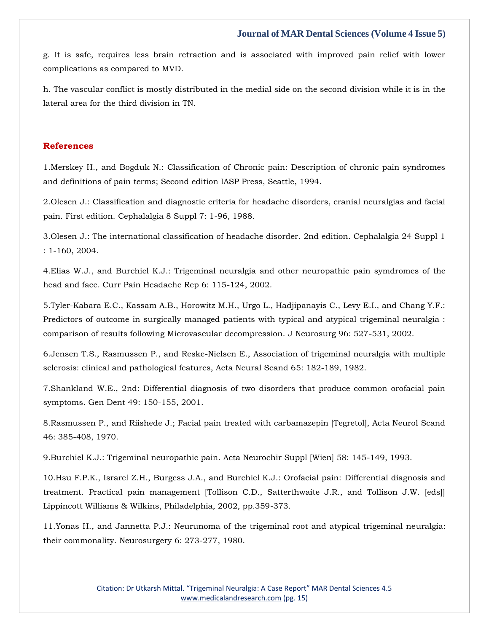g. It is safe, requires less brain retraction and is associated with improved pain relief with lower complications as compared to MVD.

h. The vascular conflict is mostly distributed in the medial side on the second division while it is in the lateral area for the third division in TN.

## **References**

1[.Merskey H., and Bogduk N.: Classification of Chronic pain: Description of chronic pain syndromes](https://www.google.com/search?q=.%3A+Classification+of+Chronic+pain%3A+Description+of+chronic+pain+syndromes+and+definitions+of+pain+terms&sxsrf=APq-WBtkPQ5_u6H4eg-rbuPk6IdhrWRriA%3A1643711364514&ei=hAv5YdTVHu6J4-EPnMmjwAM&ved=0ahUKEwjUp_r_pd71AhXuxDgGHZzkCDgQ4dUDCA4&uact=5&oq=.%3A+Classification+of+Chronic+pain%3A+Description+of+chronic+pain+syndromes+and+definitions+of+pain+terms&gs_lcp=Cgdnd3Mtd2l6EAMyBwgjEOoCECcyBwgjEOoCECcyBwgjEOoCECcyBwgjEOoCECcyBwgjEOoCECcyBwgjEOoCECcyBwgjEOoCECcyBwgjEOoCECcyBwgjEOoCECcyBwgjEOoCECdKBAhBGABKBAhGGABQ0gZY0gZg6QhoAXACeACAAQCIAQCSAQCYAQCgAQGgAQKwAQrAAQE&sclient=gws-wiz)  [and definitions of pain terms; Second edition IASP Press, Seattle, 1994.](https://www.google.com/search?q=.%3A+Classification+of+Chronic+pain%3A+Description+of+chronic+pain+syndromes+and+definitions+of+pain+terms&sxsrf=APq-WBtkPQ5_u6H4eg-rbuPk6IdhrWRriA%3A1643711364514&ei=hAv5YdTVHu6J4-EPnMmjwAM&ved=0ahUKEwjUp_r_pd71AhXuxDgGHZzkCDgQ4dUDCA4&uact=5&oq=.%3A+Classification+of+Chronic+pain%3A+Description+of+chronic+pain+syndromes+and+definitions+of+pain+terms&gs_lcp=Cgdnd3Mtd2l6EAMyBwgjEOoCECcyBwgjEOoCECcyBwgjEOoCECcyBwgjEOoCECcyBwgjEOoCECcyBwgjEOoCECcyBwgjEOoCECcyBwgjEOoCECcyBwgjEOoCECcyBwgjEOoCECdKBAhBGABKBAhGGABQ0gZY0gZg6QhoAXACeACAAQCIAQCSAQCYAQCgAQGgAQKwAQrAAQE&sclient=gws-wiz)

2[.Olesen J.: Classification and diagnostic criteria for headache disorders, cranial neuralgias and facial](https://www.google.com/search?q=Classification+and+diagnostic+criteria+for+headache+disorders%2C+cranial+neuralgias+and+facial+pain.+First+edition&sxsrf=APq-WBs4EEGi4zqNqG-FL0VehGnK_mJqlQ%3A1643713920485&ei=gBX5YZDqHN6ZseMP1Lun0Ak&ved=0ahUKEwiQqt7Cr971AhXeTGwGHdTdCZoQ4dUDCA4&uact=5&oq=Classification+and+diagnostic+criteria+for+headache+disorders%2C+cranial+neuralgias+and+facial+pain.+First+edition&gs_lcp=Cgdnd3Mtd2l6EAMyBwgjEOoCECcyBwgjEOoCECcyBwgjEOoCECcyBwgjEOoCECcyBwgjEOoCECcyBwgjEOoCECcyBwgjEOoCECcyBwgjEOoCECcyBwgjEOoCECcyBwgjEOoCECdKBAhBGABKBAhGGABQ2wRY2wRg3wZoAXACeACAAQCIAQCSAQCYAQCgAQGgAQKwAQrAAQE&sclient=gws-wiz)  [pain. First edition. Cephalalgia 8 Suppl 7: 1-96, 1988.](https://www.google.com/search?q=Classification+and+diagnostic+criteria+for+headache+disorders%2C+cranial+neuralgias+and+facial+pain.+First+edition&sxsrf=APq-WBs4EEGi4zqNqG-FL0VehGnK_mJqlQ%3A1643713920485&ei=gBX5YZDqHN6ZseMP1Lun0Ak&ved=0ahUKEwiQqt7Cr971AhXeTGwGHdTdCZoQ4dUDCA4&uact=5&oq=Classification+and+diagnostic+criteria+for+headache+disorders%2C+cranial+neuralgias+and+facial+pain.+First+edition&gs_lcp=Cgdnd3Mtd2l6EAMyBwgjEOoCECcyBwgjEOoCECcyBwgjEOoCECcyBwgjEOoCECcyBwgjEOoCECcyBwgjEOoCECcyBwgjEOoCECcyBwgjEOoCECcyBwgjEOoCECcyBwgjEOoCECdKBAhBGABKBAhGGABQ2wRY2wRg3wZoAXACeACAAQCIAQCSAQCYAQCgAQGgAQKwAQrAAQE&sclient=gws-wiz)

3[.Olesen J.: The international classification of headache disorder. 2nd edition. Cephalalgia 24 Suppl 1](https://www.google.com/search?q=The+international+classification+of+headache+disorder.+2nd+edition&sxsrf=APq-WBuO9c7KUNwFCRJ9RSh_xRCxcbEbFQ%3A1643713934776&ei=jhX5YaHTLo6UseMP4oWcmAs&ved=0ahUKEwih0sbJr971AhUOSmwGHeICB7MQ4dUDCA4&uact=5&oq=The+international+classification+of+headache+disorder.+2nd+edition&gs_lcp=Cgdnd3Mtd2l6EAMyBggAEBYQHjIGCAAQFhAeMgYIABAWEB46BwgjEOoCECdKBAhBGABKBAhGGABQjAVYjAVgtQdoAXACeACAAZMCiAGTApIBAzItMZgBAKABAaABArABCsABAQ&sclient=gws-wiz)  [: 1-160, 2004.](https://www.google.com/search?q=The+international+classification+of+headache+disorder.+2nd+edition&sxsrf=APq-WBuO9c7KUNwFCRJ9RSh_xRCxcbEbFQ%3A1643713934776&ei=jhX5YaHTLo6UseMP4oWcmAs&ved=0ahUKEwih0sbJr971AhUOSmwGHeICB7MQ4dUDCA4&uact=5&oq=The+international+classification+of+headache+disorder.+2nd+edition&gs_lcp=Cgdnd3Mtd2l6EAMyBggAEBYQHjIGCAAQFhAeMgYIABAWEB46BwgjEOoCECdKBAhBGABKBAhGGABQjAVYjAVgtQdoAXACeACAAZMCiAGTApIBAzItMZgBAKABAaABArABCsABAQ&sclient=gws-wiz)

4[.Elias W.J., and Burchiel K.J.: Trigeminal neuralgia and other neuropathic pain symdromes of the](https://www.google.com/search?q=Trigeminal+neuralgia+and+other+neuropathic+pain+symdromes+of+the+head+and+face&sxsrf=APq-WBuzpGPZkLhVK14GFKYDDbDRGd58Hg%3A1643713950987&ei=nhX5Yea8O7ycseMP3P-gwAI&ved=0ahUKEwjmg6TRr971AhU8TmwGHdw_CCgQ4dUDCA4&uact=5&oq=Trigeminal+neuralgia+and+other+neuropathic+pain+symdromes+of+the+head+and+face&gs_lcp=Cgdnd3Mtd2l6EAMyBwgjEOoCECcyBwgjEOoCECcyBwgjEOoCECcyBwgjEOoCECcyBwgjEOoCECcyBwgjEOoCECcyBwgjEOoCECcyBwgjEOoCECcyBwgjEOoCECcyBwgjEOoCECdKBAhBGABKBAhGGABQ9wRY9wRg4wZoAXACeACAAQCIAQCSAQCYAQCgAQGgAQKwAQrAAQE&sclient=gws-wiz)  [head and face. Curr Pain Headache Rep 6: 115-124, 2002.](https://www.google.com/search?q=Trigeminal+neuralgia+and+other+neuropathic+pain+symdromes+of+the+head+and+face&sxsrf=APq-WBuzpGPZkLhVK14GFKYDDbDRGd58Hg%3A1643713950987&ei=nhX5Yea8O7ycseMP3P-gwAI&ved=0ahUKEwjmg6TRr971AhU8TmwGHdw_CCgQ4dUDCA4&uact=5&oq=Trigeminal+neuralgia+and+other+neuropathic+pain+symdromes+of+the+head+and+face&gs_lcp=Cgdnd3Mtd2l6EAMyBwgjEOoCECcyBwgjEOoCECcyBwgjEOoCECcyBwgjEOoCECcyBwgjEOoCECcyBwgjEOoCECcyBwgjEOoCECcyBwgjEOoCECcyBwgjEOoCECcyBwgjEOoCECdKBAhBGABKBAhGGABQ9wRY9wRg4wZoAXACeACAAQCIAQCSAQCYAQCgAQGgAQKwAQrAAQE&sclient=gws-wiz)

5[.Tyler-Kabara E.C., Kassam A.B., Horowitz M.H., Urgo L., Hadjipanayis C., Levy E.I., and Chang Y.F.:](https://www.google.com/search?q=Predictors+of+outcome+in+surgically+managed+patients+with+typical+and+atypical+trigeminal+neuralgia+%3A+comparison+of+results+following+Microvascular+decompression&sxsrf=APq-WBs-4ZtDUdc02Av2w5r0p_RsavaVXw%3A1643713964536&ei=rBX5YaXWH92QseMPqq-AgAQ&ved=0ahUKEwil3N7Xr971AhVdSGwGHaoXAEAQ4dUDCA4&uact=5&oq=Predictors+of+outcome+in+surgically+managed+patients+with+typical+and+atypical+trigeminal+neuralgia+%3A+comparison+of+results+following+Microvascular+decompression&gs_lcp=Cgdnd3Mtd2l6EAMyBwgjEOoCECcyBwgjEOoCECcyBwgjEOoCECcyBwgjEOoCECcyBwgjEOoCECcyBwgjEOoCECcyBwgjEOoCECcyBwgjEOoCECcyBwgjEOoCECcyBwgjEOoCECdKBAhBGABKBAhGGABQngVYngVgwwdoAXABeACAAQCIAQCSAQCYAQCgAQGgAQKwAQrAAQE&sclient=gws-wiz)  [Predictors of outcome in surgically managed patients with typical and atypical trigeminal neuralgia :](https://www.google.com/search?q=Predictors+of+outcome+in+surgically+managed+patients+with+typical+and+atypical+trigeminal+neuralgia+%3A+comparison+of+results+following+Microvascular+decompression&sxsrf=APq-WBs-4ZtDUdc02Av2w5r0p_RsavaVXw%3A1643713964536&ei=rBX5YaXWH92QseMPqq-AgAQ&ved=0ahUKEwil3N7Xr971AhVdSGwGHaoXAEAQ4dUDCA4&uact=5&oq=Predictors+of+outcome+in+surgically+managed+patients+with+typical+and+atypical+trigeminal+neuralgia+%3A+comparison+of+results+following+Microvascular+decompression&gs_lcp=Cgdnd3Mtd2l6EAMyBwgjEOoCECcyBwgjEOoCECcyBwgjEOoCECcyBwgjEOoCECcyBwgjEOoCECcyBwgjEOoCECcyBwgjEOoCECcyBwgjEOoCECcyBwgjEOoCECcyBwgjEOoCECdKBAhBGABKBAhGGABQngVYngVgwwdoAXABeACAAQCIAQCSAQCYAQCgAQGgAQKwAQrAAQE&sclient=gws-wiz)  [comparison of results following Microvascular decompression. J Neurosurg 96: 527-531, 2002.](https://www.google.com/search?q=Predictors+of+outcome+in+surgically+managed+patients+with+typical+and+atypical+trigeminal+neuralgia+%3A+comparison+of+results+following+Microvascular+decompression&sxsrf=APq-WBs-4ZtDUdc02Av2w5r0p_RsavaVXw%3A1643713964536&ei=rBX5YaXWH92QseMPqq-AgAQ&ved=0ahUKEwil3N7Xr971AhVdSGwGHaoXAEAQ4dUDCA4&uact=5&oq=Predictors+of+outcome+in+surgically+managed+patients+with+typical+and+atypical+trigeminal+neuralgia+%3A+comparison+of+results+following+Microvascular+decompression&gs_lcp=Cgdnd3Mtd2l6EAMyBwgjEOoCECcyBwgjEOoCECcyBwgjEOoCECcyBwgjEOoCECcyBwgjEOoCECcyBwgjEOoCECcyBwgjEOoCECcyBwgjEOoCECcyBwgjEOoCECcyBwgjEOoCECdKBAhBGABKBAhGGABQngVYngVgwwdoAXABeACAAQCIAQCSAQCYAQCgAQGgAQKwAQrAAQE&sclient=gws-wiz)

6[.Jensen T.S., Rasmussen P., and Reske-Nielsen E., Association of trigeminal neuralgia with multiple](https://www.google.com/search?q=Association+of+trigeminal+neuralgia+with+multiple+sclerosis%3A+clinical+and+pathological+features&sxsrf=APq-WBvZYTFFo7i2Qig-3Il1AlZzx0VvFg%3A1643713998253&ei=zhX5Yeb1DpqeseMP1aSagAI&ved=0ahUKEwjmlOnnr971AhUaT2wGHVWSBiAQ4dUDCA4&uact=5&oq=Association+of+trigeminal+neuralgia+with+multiple+sclerosis%3A+clinical+and+pathological+features&gs_lcp=Cgdnd3Mtd2l6EAM6BwgjEOoCECdKBAhBGABKBAhGGABQkQVYkQVgywdoAXAAeACAAbwBiAG8AZIBAzAuMZgBAKABAaABArABCsABAQ&sclient=gws-wiz)  [sclerosis: clinical and pathological features, Acta Neural Scand 65: 182-189, 1982.](https://www.google.com/search?q=Association+of+trigeminal+neuralgia+with+multiple+sclerosis%3A+clinical+and+pathological+features&sxsrf=APq-WBvZYTFFo7i2Qig-3Il1AlZzx0VvFg%3A1643713998253&ei=zhX5Yeb1DpqeseMP1aSagAI&ved=0ahUKEwjmlOnnr971AhUaT2wGHVWSBiAQ4dUDCA4&uact=5&oq=Association+of+trigeminal+neuralgia+with+multiple+sclerosis%3A+clinical+and+pathological+features&gs_lcp=Cgdnd3Mtd2l6EAM6BwgjEOoCECdKBAhBGABKBAhGGABQkQVYkQVgywdoAXAAeACAAbwBiAG8AZIBAzAuMZgBAKABAaABArABCsABAQ&sclient=gws-wiz)

7[.Shankland W.E., 2nd: Differential diagnosis of two disorders that produce common orofacial pain](https://www.google.com/search?q=Differential+diagnosis+of+two+disorders+that+produce+common+orofacial+pain+symptoms&sxsrf=APq-WBvC9u_FT9mB6wYNulRKwMRliDtcwg%3A1643714035466&ei=8xX5YZTsG_uf4-EPjP6JwAg&ved=0ahUKEwjUscj5r971AhX7zzgGHQx_AogQ4dUDCA4&uact=5&oq=Differential+diagnosis+of+two+disorders+that+produce+common+orofacial+pain+symptoms&gs_lcp=Cgdnd3Mtd2l6EAM6BwgjEOoCECdKBAhBGABKBAhGGABQogVYogVggwdoAXACeACAAdQBiAHUAZIBAzItMZgBAKABAaABArABCsABAQ&sclient=gws-wiz)  [symptoms. Gen Dent 49: 150-155, 2001.](https://www.google.com/search?q=Differential+diagnosis+of+two+disorders+that+produce+common+orofacial+pain+symptoms&sxsrf=APq-WBvC9u_FT9mB6wYNulRKwMRliDtcwg%3A1643714035466&ei=8xX5YZTsG_uf4-EPjP6JwAg&ved=0ahUKEwjUscj5r971AhX7zzgGHQx_AogQ4dUDCA4&uact=5&oq=Differential+diagnosis+of+two+disorders+that+produce+common+orofacial+pain+symptoms&gs_lcp=Cgdnd3Mtd2l6EAM6BwgjEOoCECdKBAhBGABKBAhGGABQogVYogVggwdoAXACeACAAdQBiAHUAZIBAzItMZgBAKABAaABArABCsABAQ&sclient=gws-wiz)

8[.Rasmussen P., and Riishede J.; Facial pain treated with carbamazepin \[Tegretol\], Acta Neurol Scand](https://www.google.com/search?q=Facial+pain+treated+with+carbamazepin+%5BTegretol%5D&sxsrf=APq-WBsvOjGSkSWJdCefsh9NFVWkeRSE_g%3A1643714055866&ei=Bxb5YcmoNP-c4-EPldSEsAw&ved=0ahUKEwiJyKWDsN71AhV_zjgGHRUqAcYQ4dUDCA4&uact=5&oq=Facial+pain+treated+with+carbamazepin+%5BTegretol%5D&gs_lcp=Cgdnd3Mtd2l6EAM6BwgjEOoCECdKBAhBGABKBAhGGABQ-gVY-gVgsghoAXACeACAAfwBiAH8AZIBAzItMZgBAKABAaABArABCsABAQ&sclient=gws-wiz)  [46: 385-408, 1970.](https://www.google.com/search?q=Facial+pain+treated+with+carbamazepin+%5BTegretol%5D&sxsrf=APq-WBsvOjGSkSWJdCefsh9NFVWkeRSE_g%3A1643714055866&ei=Bxb5YcmoNP-c4-EPldSEsAw&ved=0ahUKEwiJyKWDsN71AhV_zjgGHRUqAcYQ4dUDCA4&uact=5&oq=Facial+pain+treated+with+carbamazepin+%5BTegretol%5D&gs_lcp=Cgdnd3Mtd2l6EAM6BwgjEOoCECdKBAhBGABKBAhGGABQ-gVY-gVgsghoAXACeACAAfwBiAH8AZIBAzItMZgBAKABAaABArABCsABAQ&sclient=gws-wiz)

9[.Burchiel K.J.: Trigeminal neuropathic pain. Acta Neurochir Suppl \[Wien\] 58: 145-149, 1993.](https://www.google.com/search?q=Trigeminal+neuropathic+pain&sxsrf=APq-WBsZYlHfMnKojPQ14wogmBcjurK4gA%3A1643714078126&ei=Hhb5YYeOB6-X4-EPrsG1iAI&ved=0ahUKEwiHlfSNsN71AhWvyzgGHa5gDSEQ4dUDCA4&uact=5&oq=Trigeminal+neuropathic+pain&gs_lcp=Cgdnd3Mtd2l6EAMyBQgAEIAEMgUIABCABDIFCAAQgAQyCggAEIAEEIcCEBQyCggAEIAEEIcCEBQyBggAEBYQHjIGCAAQFhAeMgYIABAWEB4yBggAEBYQHjIGCAAQFhAeOgcIIxDqAhAnSgQIQRgASgQIRhgAUI8FWI8FYIoHaAFwAXgAgAHQAYgB0AGSAQMyLTGYAQCgAQGgAQKwAQrAAQE&sclient=gws-wiz)

10[.Hsu F.P.K., Israrel Z.H., Burgess J.A., and Burchiel K.J.: Orofacial pain: Differential diagnosis and](https://www.google.com/search?q=Orofacial+pain%3A+Differential+diagnosis+and+treatment.+Practical+pain+management&sxsrf=APq-WBu-HNRbJT0GjsYErK73iqcB4iNatw%3A1643714091101&ei=Kxb5YZi8BcOG4-EPsIaJwA8&ved=0ahUKEwjY_YuUsN71AhVDwzgGHTBDAvgQ4dUDCA4&uact=5&oq=Orofacial+pain%3A+Differential+diagnosis+and+treatment.+Practical+pain+management&gs_lcp=Cgdnd3Mtd2l6EAM6BwgjEOoCECdKBAhBGABKBAhGGABQogVYogVgzgdoAXACeACAAbgBiAG4AZIBAzAuMZgBAKABAaABArABCsABAQ&sclient=gws-wiz)  [treatment. Practical pain management \[Tollison C.D., Satterthwaite J.R., and Tollison J.W. \[eds\]\]](https://www.google.com/search?q=Orofacial+pain%3A+Differential+diagnosis+and+treatment.+Practical+pain+management&sxsrf=APq-WBu-HNRbJT0GjsYErK73iqcB4iNatw%3A1643714091101&ei=Kxb5YZi8BcOG4-EPsIaJwA8&ved=0ahUKEwjY_YuUsN71AhVDwzgGHTBDAvgQ4dUDCA4&uact=5&oq=Orofacial+pain%3A+Differential+diagnosis+and+treatment.+Practical+pain+management&gs_lcp=Cgdnd3Mtd2l6EAM6BwgjEOoCECdKBAhBGABKBAhGGABQogVYogVgzgdoAXACeACAAbgBiAG4AZIBAzAuMZgBAKABAaABArABCsABAQ&sclient=gws-wiz)  [Lippincott Williams & Wilkins, Philadelphia, 2002, pp.359-373.](https://www.google.com/search?q=Orofacial+pain%3A+Differential+diagnosis+and+treatment.+Practical+pain+management&sxsrf=APq-WBu-HNRbJT0GjsYErK73iqcB4iNatw%3A1643714091101&ei=Kxb5YZi8BcOG4-EPsIaJwA8&ved=0ahUKEwjY_YuUsN71AhVDwzgGHTBDAvgQ4dUDCA4&uact=5&oq=Orofacial+pain%3A+Differential+diagnosis+and+treatment.+Practical+pain+management&gs_lcp=Cgdnd3Mtd2l6EAM6BwgjEOoCECdKBAhBGABKBAhGGABQogVYogVgzgdoAXACeACAAbgBiAG4AZIBAzAuMZgBAKABAaABArABCsABAQ&sclient=gws-wiz)

11[.Yonas H., and Jannetta P.J.: Neurunoma of the trigeminal root and atypical trigeminal neuralgia:](https://www.google.com/search?q=Neurunoma+of+the+trigeminal+root+and+atypical+trigeminal+neuralgia%3A+their+commonality&sxsrf=APq-WBuefTxXcFIf7ZzzJ7hE8SprjJ8Dig%3A1643714110256&ei=Phb5YeKID7Wd4-EPzrKGkAM&ved=0ahUKEwjin52dsN71AhW1zjgGHU6ZATIQ4dUDCA4&uact=5&oq=Neurunoma+of+the+trigeminal+root+and+atypical+trigeminal+neuralgia%3A+their+commonality&gs_lcp=Cgdnd3Mtd2l6EAM6BwgjEOoCECdKBAhBGABKBAhGGABQlgVYlgVgogdoAXACeACAAcwBiAHMAZIBAzItMZgBAKABAaABArABCsABAQ&sclient=gws-wiz)  [their commonality. Neurosurgery 6: 273-277, 1980.](https://www.google.com/search?q=Neurunoma+of+the+trigeminal+root+and+atypical+trigeminal+neuralgia%3A+their+commonality&sxsrf=APq-WBuefTxXcFIf7ZzzJ7hE8SprjJ8Dig%3A1643714110256&ei=Phb5YeKID7Wd4-EPzrKGkAM&ved=0ahUKEwjin52dsN71AhW1zjgGHU6ZATIQ4dUDCA4&uact=5&oq=Neurunoma+of+the+trigeminal+root+and+atypical+trigeminal+neuralgia%3A+their+commonality&gs_lcp=Cgdnd3Mtd2l6EAM6BwgjEOoCECdKBAhBGABKBAhGGABQlgVYlgVgogdoAXACeACAAcwBiAHMAZIBAzItMZgBAKABAaABArABCsABAQ&sclient=gws-wiz)